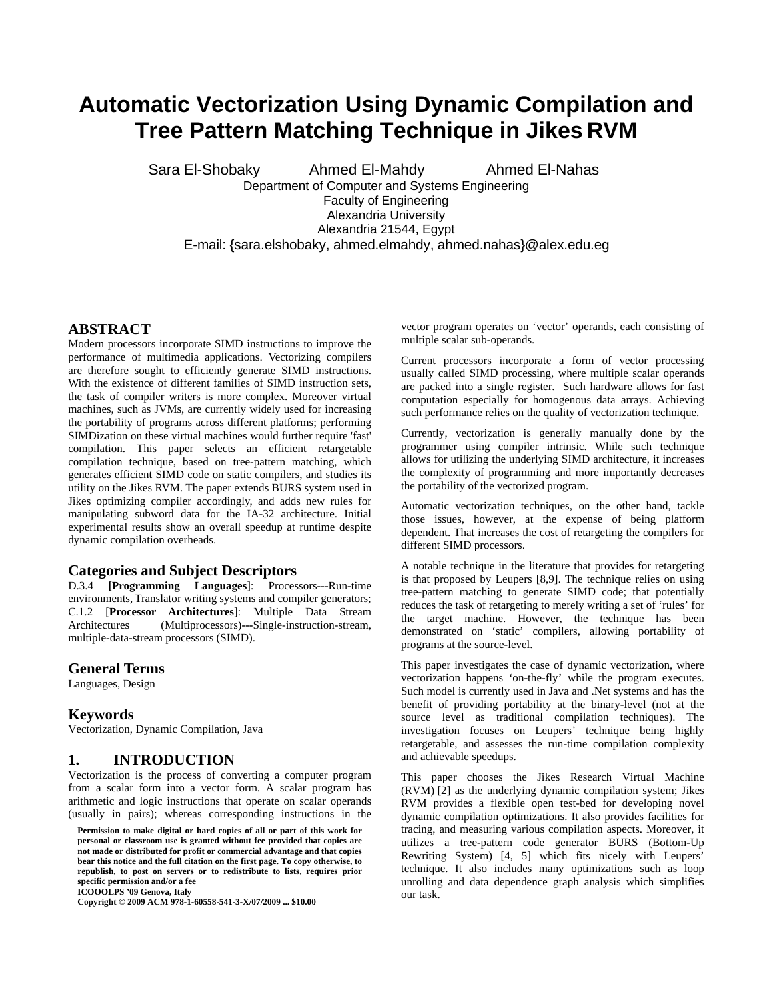# **Automatic Vectorization Using Dynamic Compilation and Tree Pattern Matching Technique in Jikes RVM**

Sara El-Shobaky Ahmed El-Mahdy Ahmed El-Nahas

Department of Computer and Systems Engineering Faculty of Engineering Alexandria University Alexandria 21544, Egypt E-mail: {sara.elshobaky, ahmed.elmahdy, ahmed.nahas}@alex.edu.eg

## **ABSTRACT**

Modern processors incorporate SIMD instructions to improve the performance of multimedia applications. Vectorizing compilers are therefore sought to efficiently generate SIMD instructions. With the existence of different families of SIMD instruction sets, the task of compiler writers is more complex. Moreover virtual machines, such as JVMs, are currently widely used for increasing the portability of programs across different platforms; performing SIMDization on these virtual machines would further require 'fast' compilation. This paper selects an efficient retargetable compilation technique, based on tree-pattern matching, which generates efficient SIMD code on static compilers, and studies its utility on the Jikes RVM. The paper extends BURS system used in Jikes optimizing compiler accordingly, and adds new rules for manipulating subword data for the IA-32 architecture. Initial experimental results show an overall speedup at runtime despite dynamic compilation overheads.

## **Categories and Subject Descriptors**

D.3.4 **[Programming Languages**]: Processors---Run-time environments, Translator writing systems and compiler generators; C.1.2 [**Processor Architectures**]: Multiple Data Stream Architectures (Multiprocessors)**---**Single-instruction-stream, multiple-data-stream processors (SIMD).

#### **General Terms**

Languages, Design

#### **Keywords**

Vectorization, Dynamic Compilation, Java

## **1. INTRODUCTION**

Vectorization is the process of converting a computer program from a scalar form into a vector form. A scalar program has arithmetic and logic instructions that operate on scalar operands (usually in pairs); whereas corresponding instructions in the

**Permission to make digital or hard copies of all or part of this work for personal or classroom use is granted without fee provided that copies are not made or distributed for profit or commercial advantage and that copies bear this notice and the full citation on the first page. To copy otherwise, to republish, to post on servers or to redistribute to lists, requires prior specific permission and/or a fee ICOOOLPS '09 Genova, Italy** 

**Copyright © 2009 ACM 978-1-60558-541-3-X/07/2009 ... \$10.00** 

vector program operates on 'vector' operands, each consisting of multiple scalar sub-operands.

Current processors incorporate a form of vector processing usually called SIMD processing, where multiple scalar operands are packed into a single register. Such hardware allows for fast computation especially for homogenous data arrays. Achieving such performance relies on the quality of vectorization technique.

Currently, vectorization is generally manually done by the programmer using compiler intrinsic. While such technique allows for utilizing the underlying SIMD architecture, it increases the complexity of programming and more importantly decreases the portability of the vectorized program.

Automatic vectorization techniques, on the other hand, tackle those issues, however, at the expense of being platform dependent. That increases the cost of retargeting the compilers for different SIMD processors.

A notable technique in the literature that provides for retargeting is that proposed by Leupers [8,9]. The technique relies on using tree-pattern matching to generate SIMD code; that potentially reduces the task of retargeting to merely writing a set of 'rules' for the target machine. However, the technique has been demonstrated on 'static' compilers, allowing portability of programs at the source-level.

This paper investigates the case of dynamic vectorization, where vectorization happens 'on-the-fly' while the program executes. Such model is currently used in Java and .Net systems and has the benefit of providing portability at the binary-level (not at the source level as traditional compilation techniques). The investigation focuses on Leupers' technique being highly retargetable, and assesses the run-time compilation complexity and achievable speedups.

This paper chooses the Jikes Research Virtual Machine (RVM) [2] as the underlying dynamic compilation system; Jikes RVM provides a flexible open test-bed for developing novel dynamic compilation optimizations. It also provides facilities for tracing, and measuring various compilation aspects. Moreover, it utilizes a tree-pattern code generator BURS (Bottom-Up Rewriting System) [4, 5] which fits nicely with Leupers' technique. It also includes many optimizations such as loop unrolling and data dependence graph analysis which simplifies our task.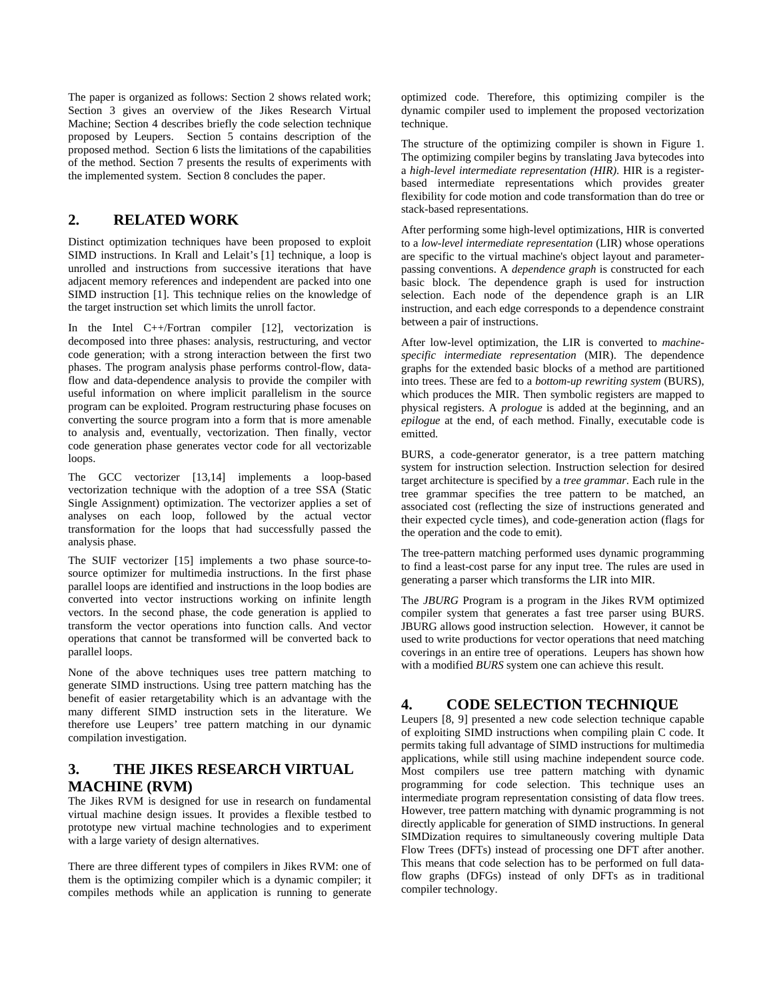The paper is organized as follows: Section 2 shows related work; Section 3 gives an overview of the Jikes Research Virtual Machine; Section 4 describes briefly the code selection technique proposed by Leupers. Section 5 contains description of the proposed method. Section 6 lists the limitations of the capabilities of the method. Section 7 presents the results of experiments with the implemented system. Section 8 concludes the paper.

## **2. RELATED WORK**

Distinct optimization techniques have been proposed to exploit SIMD instructions. In Krall and Lelait's [1] technique, a loop is unrolled and instructions from successive iterations that have adjacent memory references and independent are packed into one SIMD instruction [1]. This technique relies on the knowledge of the target instruction set which limits the unroll factor.

In the Intel C++/Fortran compiler [12], vectorization is decomposed into three phases: analysis, restructuring, and vector code generation; with a strong interaction between the first two phases. The program analysis phase performs control-flow, dataflow and data-dependence analysis to provide the compiler with useful information on where implicit parallelism in the source program can be exploited. Program restructuring phase focuses on converting the source program into a form that is more amenable to analysis and, eventually, vectorization. Then finally, vector code generation phase generates vector code for all vectorizable loops.

The GCC vectorizer [13,14] implements a loop-based vectorization technique with the adoption of a tree SSA (Static Single Assignment) optimization. The vectorizer applies a set of analyses on each loop, followed by the actual vector transformation for the loops that had successfully passed the analysis phase.

The SUIF vectorizer [15] implements a two phase source-tosource optimizer for multimedia instructions. In the first phase parallel loops are identified and instructions in the loop bodies are converted into vector instructions working on infinite length vectors. In the second phase, the code generation is applied to transform the vector operations into function calls. And vector operations that cannot be transformed will be converted back to parallel loops.

None of the above techniques uses tree pattern matching to generate SIMD instructions. Using tree pattern matching has the benefit of easier retargetability which is an advantage with the many different SIMD instruction sets in the literature. We therefore use Leupers' tree pattern matching in our dynamic compilation investigation.

## **3. THE JIKES RESEARCH VIRTUAL MACHINE (RVM)**

The Jikes RVM is designed for use in research on fundamental virtual machine design issues. It provides a flexible testbed to prototype new virtual machine technologies and to experiment with a large variety of design alternatives.

There are three different types of compilers in Jikes RVM: one of them is the optimizing compiler which is a dynamic compiler; it compiles methods while an application is running to generate

optimized code. Therefore, this optimizing compiler is the dynamic compiler used to implement the proposed vectorization technique.

The structure of the optimizing compiler is shown in Figure 1. The optimizing compiler begins by translating Java bytecodes into a *high-level intermediate representation (HIR)*. HIR is a registerbased intermediate representations which provides greater flexibility for code motion and code transformation than do tree or stack-based representations.

After performing some high-level optimizations, HIR is converted to a *low-level intermediate representation* (LIR) whose operations are specific to the virtual machine's object layout and parameterpassing conventions. A *dependence graph* is constructed for each basic block. The dependence graph is used for instruction selection. Each node of the dependence graph is an LIR instruction, and each edge corresponds to a dependence constraint between a pair of instructions.

After low-level optimization, the LIR is converted to *machinespecific intermediate representation* (MIR). The dependence graphs for the extended basic blocks of a method are partitioned into trees. These are fed to a *bottom-up rewriting system* (BURS), which produces the MIR. Then symbolic registers are mapped to physical registers. A *prologue* is added at the beginning, and an *epilogue* at the end, of each method. Finally, executable code is emitted.

BURS, a code-generator generator, is a tree pattern matching system for instruction selection. Instruction selection for desired target architecture is specified by a *tree grammar*. Each rule in the tree grammar specifies the tree pattern to be matched, an associated cost (reflecting the size of instructions generated and their expected cycle times), and code-generation action (flags for the operation and the code to emit).

The tree-pattern matching performed uses dynamic programming to find a least-cost parse for any input tree. The rules are used in generating a parser which transforms the LIR into MIR.

The *JBURG* Program is a program in the Jikes RVM optimized compiler system that generates a fast tree parser using BURS. JBURG allows good instruction selection. However, it cannot be used to write productions for vector operations that need matching coverings in an entire tree of operations. Leupers has shown how with a modified *BURS* system one can achieve this result.

# **4. CODE SELECTION TECHNIQUE**

Leupers [8, 9] presented a new code selection technique capable of exploiting SIMD instructions when compiling plain C code. It permits taking full advantage of SIMD instructions for multimedia applications, while still using machine independent source code. Most compilers use tree pattern matching with dynamic programming for code selection. This technique uses an intermediate program representation consisting of data flow trees. However, tree pattern matching with dynamic programming is not directly applicable for generation of SIMD instructions. In general SIMDization requires to simultaneously covering multiple Data Flow Trees (DFTs) instead of processing one DFT after another. This means that code selection has to be performed on full dataflow graphs (DFGs) instead of only DFTs as in traditional compiler technology.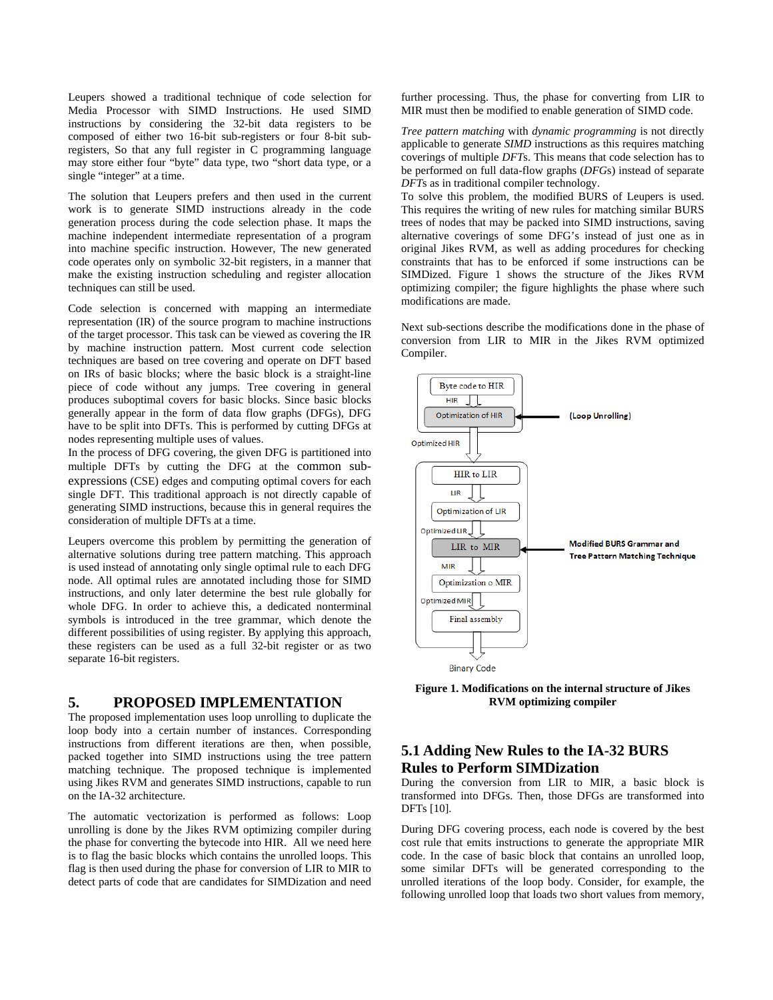Leupers showed a traditional technique of code selection for Media Processor with SIMD Instructions. He used SIMD instructions by considering the 32-bit data registers to be composed of either two 16-bit sub-registers or four 8-bit subregisters, So that any full register in C programming language may store either four "byte" data type, two "short data type, or a single "integer" at a time.

The solution that Leupers prefers and then used in the current work is to generate SIMD instructions already in the code generation process during the code selection phase. It maps the machine independent intermediate representation of a program into machine specific instruction. However, The new generated code operates only on symbolic 32-bit registers, in a manner that make the existing instruction scheduling and register allocation techniques can still be used.

Code selection is concerned with mapping an intermediate representation (IR) of the source program to machine instructions of the target processor. This task can be viewed as covering the IR by machine instruction pattern. Most current code selection techniques are based on tree covering and operate on DFT based on IRs of basic blocks; where the basic block is a straight-line piece of code without any jumps. Tree covering in general produces suboptimal covers for basic blocks. Since basic blocks generally appear in the form of data flow graphs (DFGs), DFG have to be split into DFTs. This is performed by cutting DFGs at nodes representing multiple uses of values.

In the process of DFG covering, the given DFG is partitioned into multiple DFTs by cutting the DFG at the common subexpressions (CSE) edges and computing optimal covers for each single DFT. This traditional approach is not directly capable of generating SIMD instructions, because this in general requires the consideration of multiple DFTs at a time.

Leupers overcome this problem by permitting the generation of alternative solutions during tree pattern matching. This approach is used instead of annotating only single optimal rule to each DFG node. All optimal rules are annotated including those for SIMD instructions, and only later determine the best rule globally for whole DFG. In order to achieve this, a dedicated nonterminal symbols is introduced in the tree grammar, which denote the different possibilities of using register. By applying this approach, these registers can be used as a full 32-bit register or as two separate 16-bit registers.

## **5. PROPOSED IMPLEMENTATION**

The proposed implementation uses loop unrolling to duplicate the loop body into a certain number of instances. Corresponding instructions from different iterations are then, when possible, packed together into SIMD instructions using the tree pattern matching technique. The proposed technique is implemented using Jikes RVM and generates SIMD instructions, capable to run on the IA-32 architecture.

The automatic vectorization is performed as follows: Loop unrolling is done by the Jikes RVM optimizing compiler during the phase for converting the bytecode into HIR. All we need here is to flag the basic blocks which contains the unrolled loops. This flag is then used during the phase for conversion of LIR to MIR to detect parts of code that are candidates for SIMDization and need

further processing. Thus, the phase for converting from LIR to MIR must then be modified to enable generation of SIMD code.

*Tree pattern matching* with *dynamic programming* is not directly applicable to generate *SIMD* instructions as this requires matching coverings of multiple *DFT*s. This means that code selection has to be performed on full data-flow graphs (*DFG*s) instead of separate *DFT*s as in traditional compiler technology.

To solve this problem, the modified BURS of Leupers is used. This requires the writing of new rules for matching similar BURS trees of nodes that may be packed into SIMD instructions, saving alternative coverings of some DFG's instead of just one as in original Jikes RVM, as well as adding procedures for checking constraints that has to be enforced if some instructions can be SIMDized. Figure 1 shows the structure of the Jikes RVM optimizing compiler; the figure highlights the phase where such modifications are made.

Next sub-sections describe the modifications done in the phase of conversion from LIR to MIR in the Jikes RVM optimized Compiler.



**Figure 1. Modifications on the internal structure of Jikes RVM optimizing compiler** 

# **5.1 Adding New Rules to the IA-32 BURS Rules to Perform SIMDization**

During the conversion from LIR to MIR, a basic block is transformed into DFGs. Then, those DFGs are transformed into DFTs [10].

During DFG covering process, each node is covered by the best cost rule that emits instructions to generate the appropriate MIR code. In the case of basic block that contains an unrolled loop, some similar DFTs will be generated corresponding to the unrolled iterations of the loop body. Consider, for example, the following unrolled loop that loads two short values from memory,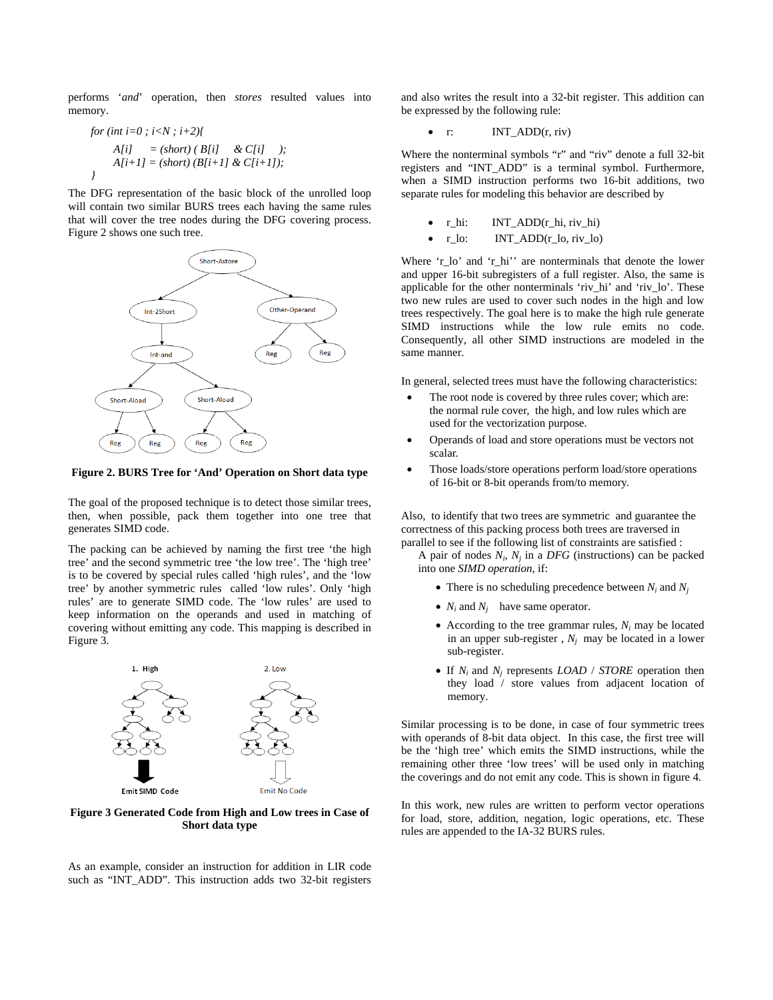performs '*and*' operation, then *stores* resulted values into memory.

$$
for (int i=0; i\n
$$
A[i] = (short) (B[i] & C[i] );
$$
\n
$$
A[i+1] = (short) (B[i+1] & C[i+1]);
$$
$$

The DFG representation of the basic block of the unrolled loop will contain two similar BURS trees each having the same rules that will cover the tree nodes during the DFG covering process. Figure 2 shows one such tree.



**Figure 2. BURS Tree for 'And' Operation on Short data type** 

The goal of the proposed technique is to detect those similar trees, then, when possible, pack them together into one tree that generates SIMD code.

The packing can be achieved by naming the first tree 'the high tree' and the second symmetric tree 'the low tree'. The 'high tree' is to be covered by special rules called 'high rules', and the 'low tree' by another symmetric rules called 'low rules'. Only 'high rules' are to generate SIMD code. The 'low rules' are used to keep information on the operands and used in matching of covering without emitting any code. This mapping is described in Figure 3.



**Figure 3 Generated Code from High and Low trees in Case of Short data type** 

As an example, consider an instruction for addition in LIR code such as "INT\_ADD". This instruction adds two 32-bit registers and also writes the result into a 32-bit register. This addition can be expressed by the following rule:

• 
$$
r
$$
: INT\_ADD(r, riv)

Where the nonterminal symbols "r" and "riv" denote a full 32-bit registers and "INT\_ADD" is a terminal symbol. Furthermore, when a SIMD instruction performs two 16-bit additions, two separate rules for modeling this behavior are described by

- r\_hi: INT\_ADD(r\_hi, riv\_hi)
- r\_lo: INT\_ADD(r\_lo, riv\_lo)

Where 'r\_lo' and 'r\_hi'' are nonterminals that denote the lower and upper 16-bit subregisters of a full register. Also, the same is applicable for the other nonterminals 'riv\_hi' and 'riv\_lo'. These two new rules are used to cover such nodes in the high and low trees respectively. The goal here is to make the high rule generate SIMD instructions while the low rule emits no code. Consequently, all other SIMD instructions are modeled in the same manner.

In general, selected trees must have the following characteristics:

- The root node is covered by three rules cover; which are: the normal rule cover, the high, and low rules which are used for the vectorization purpose.
- Operands of load and store operations must be vectors not scalar.
- Those loads/store operations perform load/store operations of 16-bit or 8-bit operands from/to memory.

Also, to identify that two trees are symmetric and guarantee the correctness of this packing process both trees are traversed in parallel to see if the following list of constraints are satisfied :

A pair of nodes  $N_i$ ,  $N_j$  in a DFG (instructions) can be packed into one *SIMD operation,* if:

- There is no scheduling precedence between  $N_i$  and  $N_i$
- $N_i$  and  $N_j$  have same operator.
- According to the tree grammar rules,  $N_i$  may be located in an upper sub-register,  $N_i$  may be located in a lower sub-register.
- If *Ni* and *Nj* represents *LOAD* / *STORE* operation then they load / store values from adjacent location of memory.

Similar processing is to be done, in case of four symmetric trees with operands of 8-bit data object. In this case, the first tree will be the 'high tree' which emits the SIMD instructions, while the remaining other three 'low trees' will be used only in matching the coverings and do not emit any code. This is shown in figure 4.

In this work, new rules are written to perform vector operations for load, store, addition, negation, logic operations, etc. These rules are appended to the IA-32 BURS rules.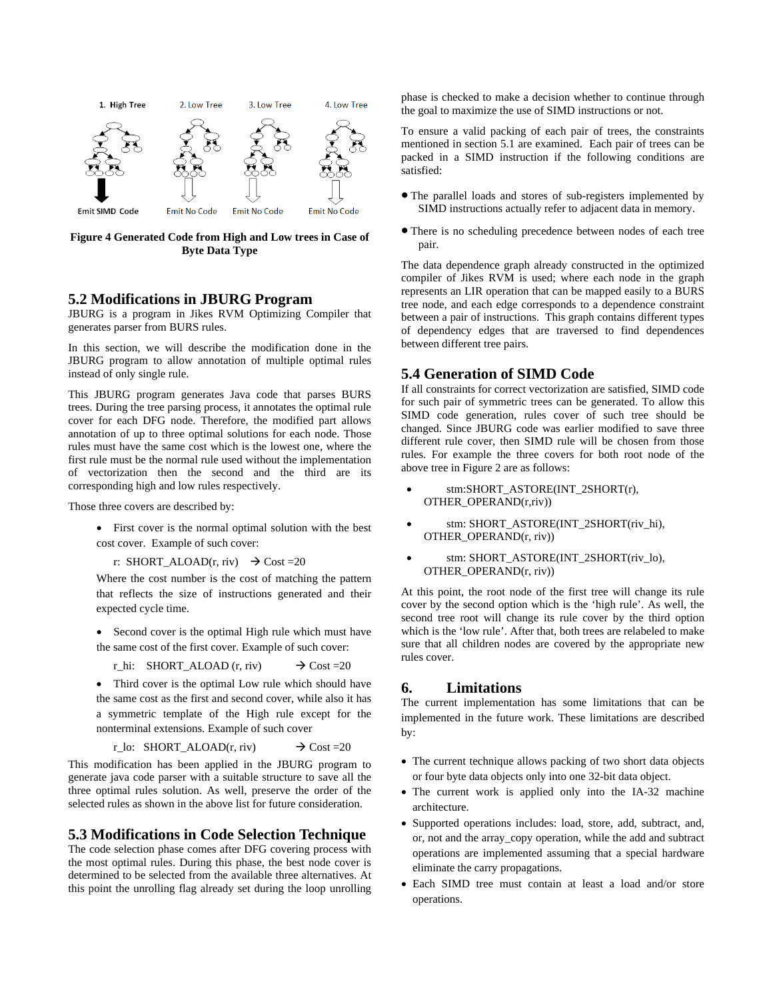

**Figure 4 Generated Code from High and Low trees in Case of Byte Data Type** 

#### **5.2 Modifications in JBURG Program**

JBURG is a program in Jikes RVM Optimizing Compiler that generates parser from BURS rules.

In this section, we will describe the modification done in the JBURG program to allow annotation of multiple optimal rules instead of only single rule.

This JBURG program generates Java code that parses BURS trees. During the tree parsing process, it annotates the optimal rule cover for each DFG node. Therefore, the modified part allows annotation of up to three optimal solutions for each node. Those rules must have the same cost which is the lowest one, where the first rule must be the normal rule used without the implementation of vectorization then the second and the third are its corresponding high and low rules respectively.

Those three covers are described by:

• First cover is the normal optimal solution with the best cost cover. Example of such cover:

```
r: SHORT_ALOAD(r, riv) \rightarrow Cost =20
```
Where the cost number is the cost of matching the pattern that reflects the size of instructions generated and their expected cycle time.

• Second cover is the optimal High rule which must have the same cost of the first cover. Example of such cover:

r\_hi: SHORT\_ALOAD (r, riv)  $\rightarrow$  Cost =20

• Third cover is the optimal Low rule which should have the same cost as the first and second cover, while also it has a symmetric template of the High rule except for the nonterminal extensions. Example of such cover

r\_to: SHORT\_ALOAD(r, riv) 
$$
\rightarrow
$$
 Cost = 20

This modification has been applied in the JBURG program to generate java code parser with a suitable structure to save all the three optimal rules solution. As well, preserve the order of the selected rules as shown in the above list for future consideration.

## **5.3 Modifications in Code Selection Technique**

The code selection phase comes after DFG covering process with the most optimal rules. During this phase, the best node cover is determined to be selected from the available three alternatives. At this point the unrolling flag already set during the loop unrolling phase is checked to make a decision whether to continue through the goal to maximize the use of SIMD instructions or not.

To ensure a valid packing of each pair of trees, the constraints mentioned in section 5.1 are examined. Each pair of trees can be packed in a SIMD instruction if the following conditions are satisfied:

- The parallel loads and stores of sub-registers implemented by SIMD instructions actually refer to adjacent data in memory.
- There is no scheduling precedence between nodes of each tree pair.

The data dependence graph already constructed in the optimized compiler of Jikes RVM is used; where each node in the graph represents an LIR operation that can be mapped easily to a BURS tree node, and each edge corresponds to a dependence constraint between a pair of instructions. This graph contains different types of dependency edges that are traversed to find dependences between different tree pairs.

## **5.4 Generation of SIMD Code**

If all constraints for correct vectorization are satisfied, SIMD code for such pair of symmetric trees can be generated. To allow this SIMD code generation, rules cover of such tree should be changed. Since JBURG code was earlier modified to save three different rule cover, then SIMD rule will be chosen from those rules. For example the three covers for both root node of the above tree in Figure 2 are as follows:

- stm:SHORT\_ASTORE(INT\_2SHORT(r), OTHER\_OPERAND(r,riv))
- stm: SHORT\_ASTORE(INT\_2SHORT(riv\_hi), OTHER\_OPERAND(r, riv))
- stm: SHORT\_ASTORE(INT\_2SHORT(riv\_lo), OTHER\_OPERAND(r, riv))

At this point, the root node of the first tree will change its rule cover by the second option which is the 'high rule'. As well, the second tree root will change its rule cover by the third option which is the 'low rule'. After that, both trees are relabeled to make sure that all children nodes are covered by the appropriate new rules cover.

#### **6. Limitations**

The current implementation has some limitations that can be implemented in the future work. These limitations are described by:

- The current technique allows packing of two short data objects or four byte data objects only into one 32-bit data object.
- The current work is applied only into the IA-32 machine architecture.
- Supported operations includes: load, store, add, subtract, and, or, not and the array\_copy operation, while the add and subtract operations are implemented assuming that a special hardware eliminate the carry propagations.
- Each SIMD tree must contain at least a load and/or store operations.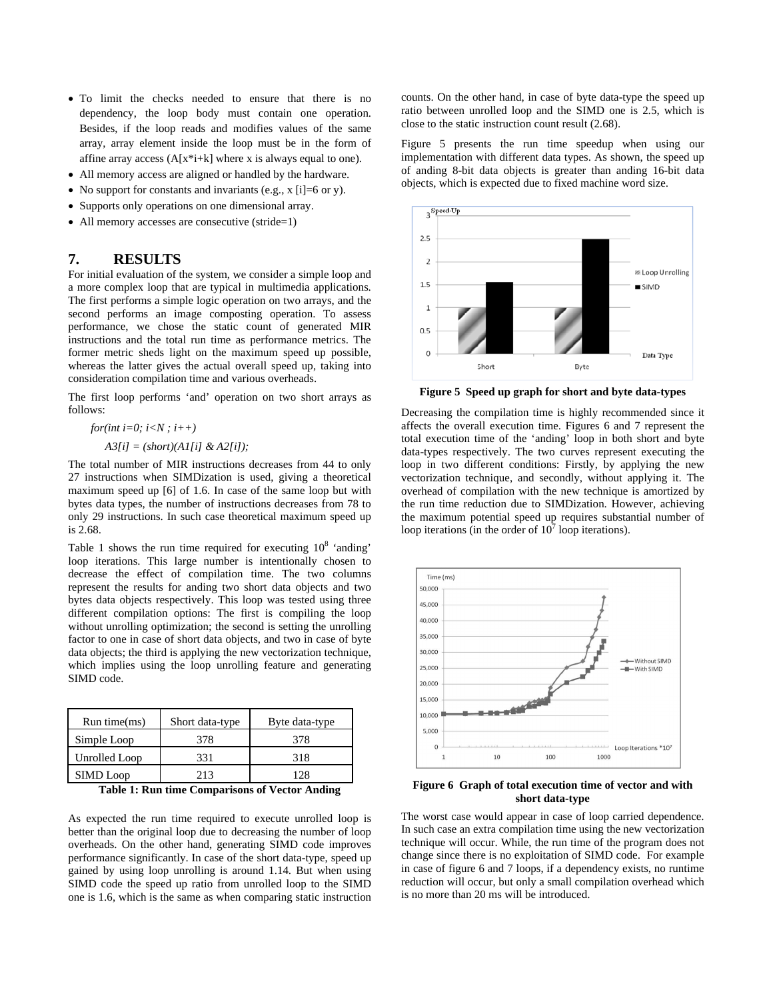- To limit the checks needed to ensure that there is no dependency, the loop body must contain one operation. Besides, if the loop reads and modifies values of the same array, array element inside the loop must be in the form of affine array access  $(A[x^*i+k]$  where x is always equal to one).
- All memory access are aligned or handled by the hardware.
- No support for constants and invariants (e.g.,  $x[i]=6$  or  $y$ ).
- Supports only operations on one dimensional array.
- All memory accesses are consecutive (stride=1)

## **7. RESULTS**

For initial evaluation of the system, we consider a simple loop and a more complex loop that are typical in multimedia applications. The first performs a simple logic operation on two arrays, and the second performs an image composting operation. To assess performance, we chose the static count of generated MIR instructions and the total run time as performance metrics. The former metric sheds light on the maximum speed up possible, whereas the latter gives the actual overall speed up, taking into consideration compilation time and various overheads.

The first loop performs 'and' operation on two short arrays as follows:

*for(int i=0; i<N ; i++) A3[i] = (short)(A1[i] & A2[i]);* 

The total number of MIR instructions decreases from 44 to only 27 instructions when SIMDization is used, giving a theoretical maximum speed up [6] of 1.6. In case of the same loop but with bytes data types, the number of instructions decreases from 78 to only 29 instructions. In such case theoretical maximum speed up is 2.68.

Table 1 shows the run time required for executing  $10^8$  'anding' loop iterations. This large number is intentionally chosen to decrease the effect of compilation time. The two columns represent the results for anding two short data objects and two bytes data objects respectively. This loop was tested using three different compilation options: The first is compiling the loop without unrolling optimization; the second is setting the unrolling factor to one in case of short data objects, and two in case of byte data objects; the third is applying the new vectorization technique, which implies using the loop unrolling feature and generating SIMD code.

| Run time(ms)                                                                                                                                                                                                                                                                                     | Short data-type | Byte data-type |  |
|--------------------------------------------------------------------------------------------------------------------------------------------------------------------------------------------------------------------------------------------------------------------------------------------------|-----------------|----------------|--|
| Simple Loop                                                                                                                                                                                                                                                                                      | 378             | 378            |  |
| <b>Unrolled Loop</b>                                                                                                                                                                                                                                                                             | 331             | 318            |  |
| SIMD Loop                                                                                                                                                                                                                                                                                        | 213             | 128            |  |
| $\mathbf{m}$ and $\mathbf{m}$ and $\mathbf{m}$ and $\mathbf{m}$ and $\mathbf{m}$ and $\mathbf{m}$ and $\mathbf{m}$ and $\mathbf{m}$ and $\mathbf{m}$ and $\mathbf{m}$ and $\mathbf{m}$ and $\mathbf{m}$ and $\mathbf{m}$ and $\mathbf{m}$ and $\mathbf{m}$ and $\mathbf{m}$ and $\mathbf{m}$ and |                 |                |  |

**Table 1: Run time Comparisons of Vector Anding** 

As expected the run time required to execute unrolled loop is better than the original loop due to decreasing the number of loop overheads. On the other hand, generating SIMD code improves performance significantly. In case of the short data-type, speed up gained by using loop unrolling is around 1.14. But when using SIMD code the speed up ratio from unrolled loop to the SIMD one is 1.6, which is the same as when comparing static instruction

counts. On the other hand, in case of byte data-type the speed up ratio between unrolled loop and the SIMD one is 2.5, which is close to the static instruction count result (2.68).

Figure 5 presents the run time speedup when using our implementation with different data types. As shown, the speed up of anding 8-bit data objects is greater than anding 16-bit data objects, which is expected due to fixed machine word size.



**Figure 5 Speed up graph for short and byte data-types** 

Decreasing the compilation time is highly recommended since it affects the overall execution time. Figures 6 and 7 represent the total execution time of the 'anding' loop in both short and byte data-types respectively. The two curves represent executing the loop in two different conditions: Firstly, by applying the new vectorization technique, and secondly, without applying it. The overhead of compilation with the new technique is amortized by the run time reduction due to SIMDization. However, achieving the maximum potential speed up requires substantial number of loop iterations (in the order of  $10^7$  loop iterations).



**Figure 6 Graph of total execution time of vector and with short data-type** 

The worst case would appear in case of loop carried dependence. In such case an extra compilation time using the new vectorization technique will occur. While, the run time of the program does not change since there is no exploitation of SIMD code. For example in case of figure 6 and 7 loops, if a dependency exists, no runtime reduction will occur, but only a small compilation overhead which is no more than 20 ms will be introduced.